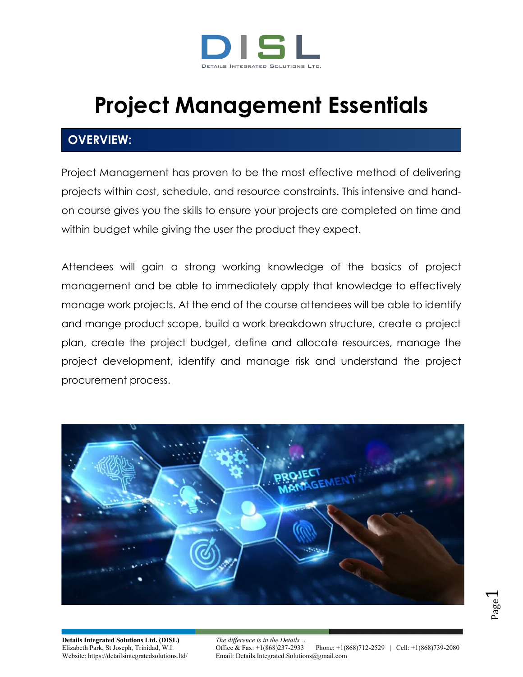

# **Project Management Essentials**

# **OVERVIEW:**

Project Management has proven to be the most effective method of delivering projects within cost, schedule, and resource constraints. This intensive and handon course gives you the skills to ensure your projects are completed on time and within budget while giving the user the product they expect.

Attendees will gain a strong working knowledge of the basics of project management and be able to immediately apply that knowledge to effectively manage work projects. At the end of the course attendees will be able to identify and mange product scope, build a work breakdown structure, create a project plan, create the project budget, define and allocate resources, manage the project development, identify and manage risk and understand the project procurement process.

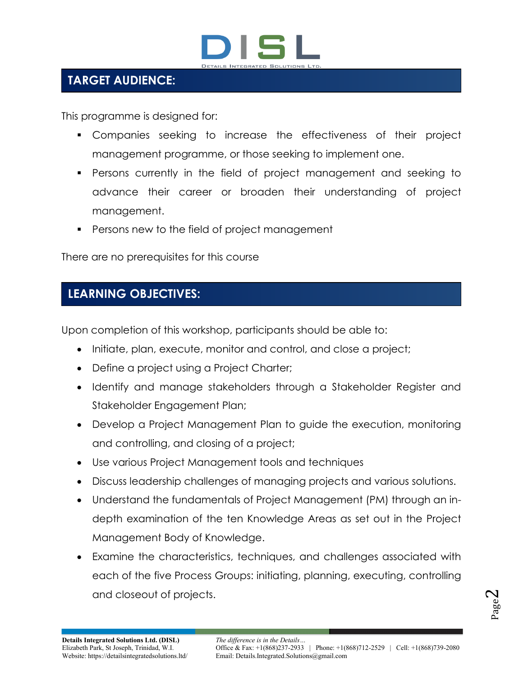

# **TARGET AUDIENCE:**

This programme is designed for:

- Companies seeking to increase the effectiveness of their project management programme, or those seeking to implement one.
- Persons currently in the field of project management and seeking to advance their career or broaden their understanding of project management.
- Persons new to the field of project management

There are no prerequisites for this course

# **LEARNING OBJECTIVES:**

Upon completion of this workshop, participants should be able to:

- Initiate, plan, execute, monitor and control, and close a project;
- Define a project using a Project Charter;
- Identify and manage stakeholders through a Stakeholder Register and Stakeholder Engagement Plan;
- Develop a Project Management Plan to guide the execution, monitoring and controlling, and closing of a project;
- Use various Project Management tools and techniques
- Discuss leadership challenges of managing projects and various solutions.
- Understand the fundamentals of Project Management (PM) through an indepth examination of the ten Knowledge Areas as set out in the Project Management Body of Knowledge.
- Examine the characteristics, techniques, and challenges associated with each of the five Process Groups: initiating, planning, executing, controlling and closeout of projects.

Page  $\boldsymbol{\sim}$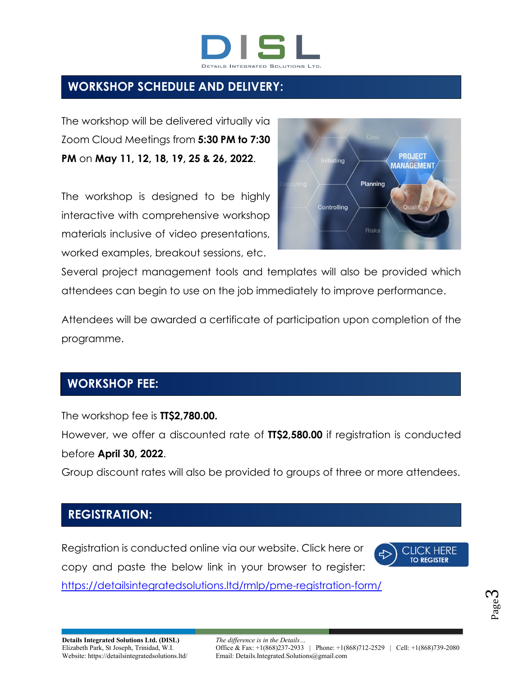

## **WORKSHOP SCHEDULE AND DELIVERY:**

The workshop will be delivered virtually via Zoom Cloud Meetings from **5:30 PM to 7:30 PM** on **May 11, 12, 18, 19, 25 & 26, 2022**.

The workshop is designed to be highly interactive with comprehensive workshop materials inclusive of video presentations, worked examples, breakout sessions, etc.



Several project management tools and templates will also be provided which attendees can begin to use on the job immediately to improve performance.

Attendees will be awarded a certificate of participation upon completion of the programme.

#### **WORKSHOP FEE:**

The workshop fee is **TT\$2,780.00.**

However, we offer a discounted rate of **TT\$2,580.00** if registration is conducted before **April 30, 2022**.

Group discount rates will also be provided to groups of three or more attendees.

#### **REGISTRATION:**

Registration is conducted online via our website. Click here or copy and paste the below link in your browser to register:



<https://detailsintegratedsolutions.ltd/rmlp/pme-registration-form/>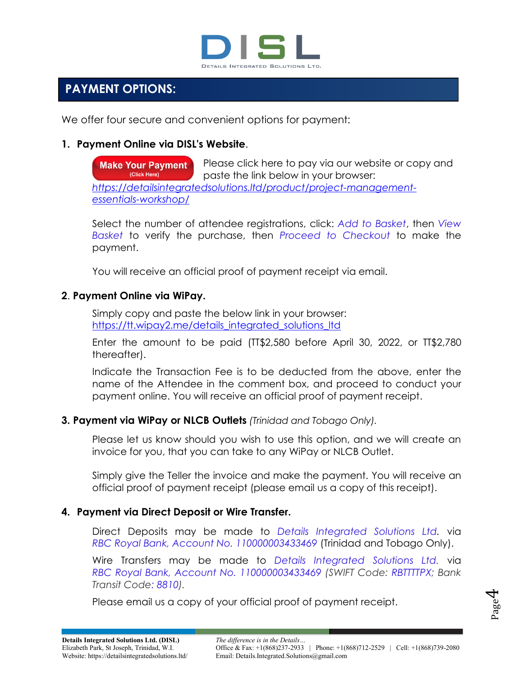

1111

## **PAYMENT OPTIONS:**

We offer four secure and convenient options for payment:

#### **1. Payment Online via DISL's Website**.

Please click here to pay via our website or copy and **Make Your Payment** (Click Here) paste the link below in your browser: *[https://detailsintegratedsolutions.ltd/product/project-management](https://detailsintegratedsolutions.ltd/product/project-management-essentials-workshop/)[essentials-workshop/](https://detailsintegratedsolutions.ltd/product/project-management-essentials-workshop/)*

Select the number of attendee registrations, click: *Add to Basket*, then *View Basket* to verify the purchase, then *Proceed to Checkout* to make the payment.

You will receive an official proof of payment receipt via email.

#### **2**. **Payment Online via WiPay.**

Simply copy and paste the below link in your browser: [https://tt.wipay2.me/details\\_integrated\\_solutions\\_ltd](https://tt.wipay2.me/details_integrated_solutions_ltd)

Enter the amount to be paid (TT\$2,580 before April 30, 2022, or TT\$2,780 thereafter).

Indicate the Transaction Fee is to be deducted from the above, enter the name of the Attendee in the comment box, and proceed to conduct your payment online. You will receive an official proof of payment receipt.

#### **3. Payment via WiPay or NLCB Outlets** *(Trinidad and Tobago Only).*

Please let us know should you wish to use this option, and we will create an invoice for you, that you can take to any WiPay or NLCB Outlet.

Simply give the Teller the invoice and make the payment. You will receive an official proof of payment receipt (please email us a copy of this receipt).

#### **4. Payment via Direct Deposit or Wire Transfer.**

Direct Deposits may be made to *Details Integrated Solutions Ltd.* via *RBC Royal Bank, Account No. 110000003433469* (Trinidad and Tobago Only).

Wire Transfers may be made to *Details Integrated Solutions Ltd.* via *RBC Royal Bank, Account No. 110000003433469 (SWIFT Code: RBTTTTPX; Bank Transit Code: 8810).*

Please email us a copy of your official proof of payment receipt.